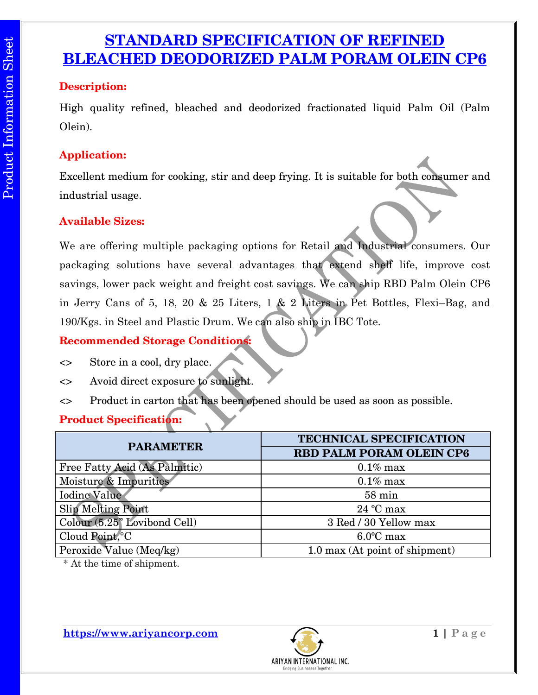## **STANDARD SPECIFICATION OF REFINED BLEACHED DEODORIZED PALM PORAM OLEIN CP6**

#### **Description:**

High quality refined, bleached and deodorized fractionated liquid Palm Oil (Palm Olein).

#### **Application:**

Excellent medium for cooking, stir and deep frying. It is suitable for both consumer and industrial usage.

#### **Available Sizes:**

We are offering multiple packaging options for Retail and Industrial consumers. Our packaging solutions have several advantages that extend shelf life, improve cost savings, lower pack weight and freight cost savings. We can ship RBD Palm Olein CP6 in Jerry Cans of 5, 18, 20 & 25 Liters, 1 & 2 Liters in Pet Bottles, Flexi–Bag, and 190/Kgs. in Steel and Plastic Drum. We can also ship in IBC Tote.

### **Recommended Storage Conditions:**

- <> Store in a cool, dry place.
- <> Avoid direct exposure to sunlight.
- <> Product in carton that has been opened should be used as soon as possible.

## **Product Specification:**

| <b>PARAMETER</b>              | <b>TECHNICAL SPECIFICATION</b>  |  |
|-------------------------------|---------------------------------|--|
|                               | <b>RBD PALM PORAM OLEIN CP6</b> |  |
| Free Fatty Acid (As Palmitic) | $0.1\%$ max                     |  |
| Moisture & Impurities         | $0.1\%$ max                     |  |
| <b>Iodine Value</b>           | $58 \text{ min}$                |  |
| <b>Slip Melting Point</b>     | $24 °C$ max                     |  |
| Colour (5.25" Lovibond Cell)  | 3 Red / 30 Yellow max           |  |
| Cloud Point, °C               | $6.0^{\circ}$ C max             |  |
| Peroxide Value (Meq/kg)       | 1.0 max (At point of shipment)  |  |

\* At the time of shipment.